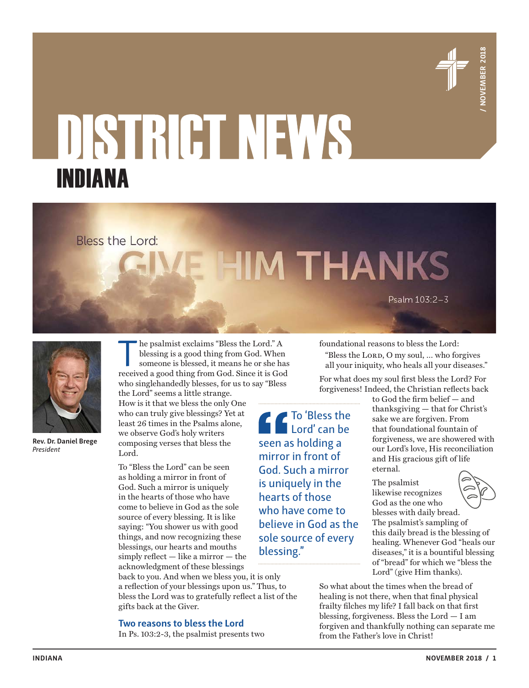

# **INDIANA**<br> **INDIANA EXERCISE THE VALUE AND SECURE AND SECURE AND SECURE AND SECURE AND SECURE AND SECURE AND SECURE AND SECURE AND SECURE AND SECURE AND SECURE AND SECURE AND SECURE AND SECURE AND SECURE AND SECURE AND** INDIANA



**Rev. Dr. Daniel Brege** *President*

The psalmist exclaims "Bless the Lord." A<br>blessing is a good thing from God. When<br>someone is blessed, it means he or she ha<br>received a good thing from God. Since it is Go blessing is a good thing from God. When someone is blessed, it means he or she has received a good thing from God. Since it is God who singlehandedly blesses, for us to say "Bless

the Lord" seems a little strange. How is it that we bless the only One who can truly give blessings? Yet at least 26 times in the Psalms alone, we observe God's holy writers composing verses that bless the Lord.

To "Bless the Lord" can be seen as holding a mirror in front of God. Such a mirror is uniquely in the hearts of those who have come to believe in God as the sole source of every blessing. It is like saying: "You shower us with good things, and now recognizing these blessings, our hearts and mouths simply reflect — like a mirror — the acknowledgment of these blessings

back to you. And when we bless you, it is only a reflection of your blessings upon us." Thus, to bless the Lord was to gratefully reflect a list of the gifts back at the Giver.

**Two reasons to bless the Lord**

In Ps. 103:2-3, the psalmist presents two

foundational reasons to bless the Lord:

"Bless the LORD, O my soul, ... who forgives all your iniquity, who heals all your diseases."

For what does my soul first bless the Lord? For forgiveness! Indeed, the Christian reflects back

To 'Bless the Lord' can be seen as holding a mirror in front of God. Such a mirror is uniquely in the hearts of those who have come to believe in God as the sole source of every blessing."

to God the firm belief — and thanksgiving — that for Christ's sake we are forgiven. From that foundational fountain of forgiveness, we are showered with our Lord's love, His reconciliation and His gracious gift of life eternal.

The psalmist likewise recognizes God as the one who



blesses with daily bread. The psalmist's sampling of this daily bread is the blessing of healing. Whenever God "heals our diseases," it is a bountiful blessing of "bread" for which we "bless the Lord" (give Him thanks).

So what about the times when the bread of healing is not there, when that final physical frailty filches my life? I fall back on that first blessing, forgiveness. Bless the Lord — I am forgiven and thankfully nothing can separate me from the Father's love in Christ!

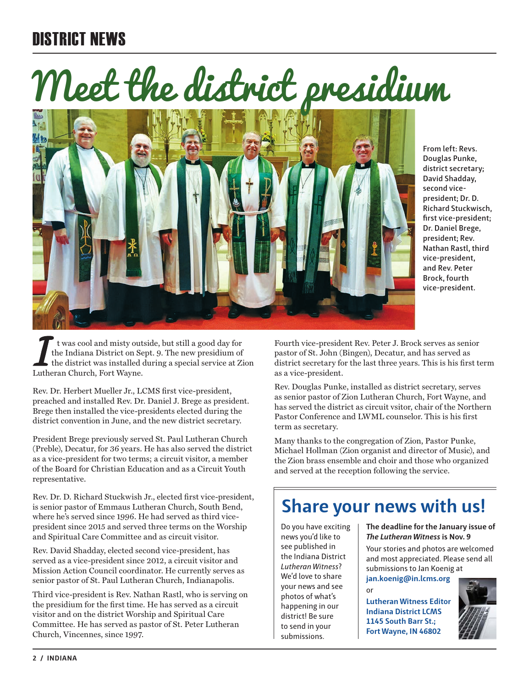# DISTRICT NEWS

# Meet the district presidium



**From left: Revs. Douglas Punke, district secretary; David Shadday, second vicepresident; Dr. D. Richard Stuckwisch, first vice-president; Dr. Daniel Brege, president; Rev. Nathan Rastl, third vice-president, and Rev. Peter Brock, fourth vice-president.**

t was cool and misty outside, but still a good day for the Indiana District on Sept. 9. The new presidium of the district was installed during a special service at Zion Lutheran Church, Fort Wayne.

Rev. Dr. Herbert Mueller Jr., LCMS first vice-president, preached and installed Rev. Dr. Daniel J. Brege as president. Brege then installed the vice-presidents elected during the district convention in June, and the new district secretary.

President Brege previously served St. Paul Lutheran Church (Preble), Decatur, for 36 years. He has also served the district as a vice-president for two terms; a circuit visitor, a member of the Board for Christian Education and as a Circuit Youth representative.

Rev. Dr. D. Richard Stuckwish Jr., elected first vice-president, is senior pastor of Emmaus Lutheran Church, South Bend, where he's served since 1996. He had served as third vicepresident since 2015 and served three terms on the Worship and Spiritual Care Committee and as circuit visitor.

Rev. David Shadday, elected second vice-president, has served as a vice-president since 2012, a circuit visitor and Mission Action Council coordinator. He currently serves as senior pastor of St. Paul Lutheran Church, Indianapolis.

Third vice-president is Rev. Nathan Rastl, who is serving on the presidium for the first time. He has served as a circuit visitor and on the district Worship and Spiritual Care Committee. He has served as pastor of St. Peter Lutheran Church, Vincennes, since 1997.

Fourth vice-president Rev. Peter J. Brock serves as senior pastor of St. John (Bingen), Decatur, and has served as district secretary for the last three years. This is his first term as a vice-president.

Rev. Douglas Punke, installed as district secretary, serves as senior pastor of Zion Lutheran Church, Fort Wayne, and has served the district as circuit vsitor, chair of the Northern Pastor Conference and LWML counselor. This is his first term as secretary.

Many thanks to the congregation of Zion, Pastor Punke, Michael Hollman (Zion organist and director of Music), and the Zion brass ensemble and choir and those who organized and served at the reception following the service.

# **Share your news with us!**

Do you have exciting news you'd like to see published in the Indiana District *Lutheran Witness*? We'd love to share your news and see photos of what's happening in our district! Be sure to send in your submissions.

# **The deadline for the January issue of**  *The Lutheran Witness* **is Nov. 9**

Your stories and photos are welcomed and most appreciated. Please send all submissions to Jan Koenig at

**jan.koenig@in.lcms.org** or

**Lutheran Witness Editor Indiana District LCMS 1145 South Barr St.; Fort Wayne, IN 46802**

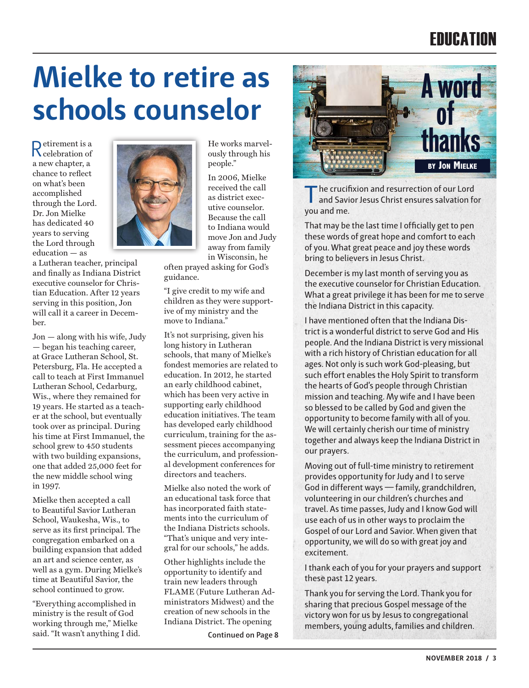# **FNIICATION**

# **Mielke to retire as schools counselor**

Retirement is a celebration of a new chapter, a chance to reflect on what's been accomplished through the Lord. Dr. Jon Mielke has dedicated 40 years to serving the Lord through education — as

a Lutheran teacher, principal and finally as Indiana District executive counselor for Christian Education. After 12 years serving in this position, Jon will call it a career in December.

Jon — along with his wife, Judy — began his teaching career, at Grace Lutheran School, St. Petersburg, Fla. He accepted a call to teach at First Immanuel Lutheran School, Cedarburg, Wis., where they remained for 19 years. He started as a teacher at the school, but eventually took over as principal. During his time at First Immanuel, the school grew to 450 students with two building expansions, one that added 25,000 feet for the new middle school wing in 1997.

Mielke then accepted a call to Beautiful Savior Lutheran School, Waukesha, Wis., to serve as its first principal. The congregation embarked on a building expansion that added an art and science center, as well as a gym. During Mielke's time at Beautiful Savior, the school continued to grow.

"Everything accomplished in ministry is the result of God working through me," Mielke said. "It wasn't anything I did.



He works marvelously through his people."

In 2006, Mielke received the call as district executive counselor. Because the call to Indiana would move Jon and Judy away from family in Wisconsin, he

often prayed asking for God's guidance.

"I give credit to my wife and children as they were supportive of my ministry and the move to Indiana."

It's not surprising, given his long history in Lutheran schools, that many of Mielke's fondest memories are related to education. In 2012, he started an early childhood cabinet, which has been very active in supporting early childhood education initiatives. The team has developed early childhood curriculum, training for the assessment pieces accompanying the curriculum, and professional development conferences for directors and teachers.

Mielke also noted the work of an educational task force that has incorporated faith statements into the curriculum of the Indiana Districts schools. "That's unique and very integral for our schools," he adds.

Other highlights include the opportunity to identify and train new leaders through FLAME (Future Lutheran Administrators Midwest) and the creation of new schools in the Indiana District. The opening

**Continued on Page 8**



The crucifixion and resurrection of our Lord and Savior Jesus Christ ensures salvation for you and me.

That may be the last time I officially get to pen these words of great hope and comfort to each of you. What great peace and joy these words bring to believers in Jesus Christ.

December is my last month of serving you as the executive counselor for Christian Education. What a great privilege it has been for me to serve the Indiana District in this capacity.

I have mentioned often that the Indiana District is a wonderful district to serve God and His people. And the Indiana District is very missional with a rich history of Christian education for all ages. Not only is such work God-pleasing, but such effort enables the Holy Spirit to transform the hearts of God's people through Christian mission and teaching. My wife and I have been so blessed to be called by God and given the opportunity to become family with all of you. We will certainly cherish our time of ministry together and always keep the Indiana District in our prayers.

Moving out of full-time ministry to retirement provides opportunity for Judy and I to serve God in different ways — family, grandchildren, volunteering in our children's churches and travel. As time passes, Judy and I know God will use each of us in other ways to proclaim the Gospel of our Lord and Savior. When given that opportunity, we will do so with great joy and excitement.

I thank each of you for your prayers and support these past 12 years.

Thank you for serving the Lord. Thank you for sharing that precious Gospel message of the victory won for us by Jesus to congregational members, young adults, families and children.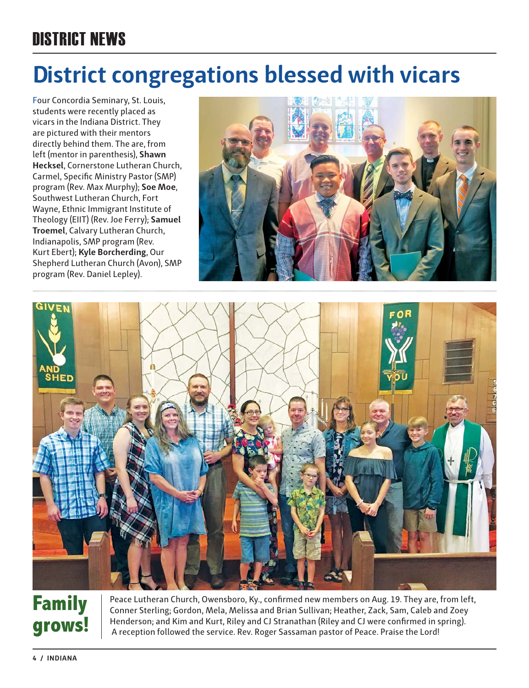# DISTRICT NEWS

# **District congregations blessed with vicars**

Four Concordia Seminary, St. Louis, students were recently placed as vicars in the Indiana District. They are pictured with their mentors directly behind them. The are, from left (mentor in parenthesis), **Shawn Hecksel**, Cornerstone Lutheran Church, Carmel, Specific Ministry Pastor (SMP) program (Rev. Max Murphy); **Soe Moe**, Southwest Lutheran Church, Fort Wayne, Ethnic Immigrant Institute of Theology (EIIT) (Rev. Joe Ferry); **Samuel Troemel**, Calvary Lutheran Church, Indianapolis, SMP program (Rev. Kurt Ebert); **Kyle Borcherding**, Our Shepherd Lutheran Church (Avon), SMP program (Rev. Daniel Lepley).





# **Family grows!**

Peace Lutheran Church, Owensboro, Ky., confirmed new members on Aug. 19. They are, from left, Conner Sterling; Gordon, Mela, Melissa and Brian Sullivan; Heather, Zack, Sam, Caleb and Zoey Henderson; and Kim and Kurt, Riley and CJ Stranathan (Riley and CJ were confirmed in spring). A reception followed the service. Rev. Roger Sassaman pastor of Peace. Praise the Lord!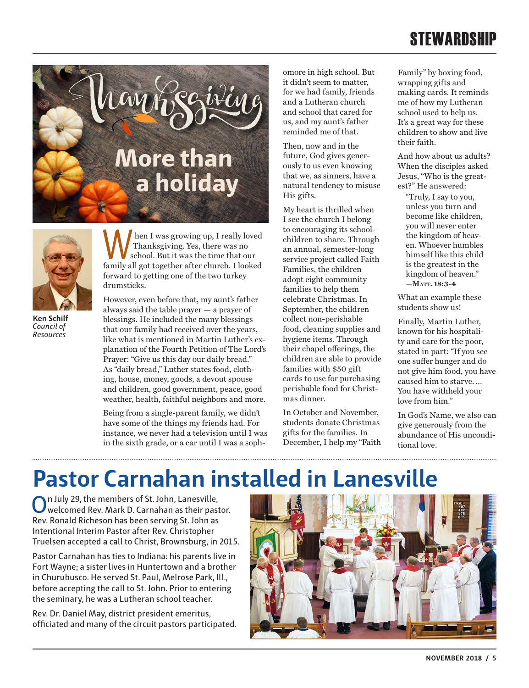# **STEWARDSHIP**





**Ken Schilf** *Council of Resources*

hen I was growing up, I really loved Thanksgiving. Yes, there was no school. But it was the time that our family all got together after church. I looked forward to getting one of the two turkey drumsticks.

However, even before that, my aunt's father always said the table prayer — a prayer of blessings. He included the many blessings that our family had received over the years, like what is mentioned in Martin Luther's explanation of the Fourth Petition of The Lord's Prayer: "Give us this day our daily bread." As "daily bread," Luther states food, clothing, house, money, goods, a devout spouse and children, good government, peace, good weather, health, faithful neighbors and more.

Being from a single-parent family, we didn't have some of the things my friends had. For instance, we never had a television until I was in the sixth grade, or a car until I was a sophomore in high school. But it didn't seem to matter, for we had family, friends and a Lutheran church and school that cared for us, and my aunt's father reminded me of that.

Then, now and in the future, God gives generously to us even knowing that we, as sinners, have a natural tendency to misuse His gifts.

My heart is thrilled when I see the church I belong to encouraging its schoolchildren to share. Through an annual, semester-long service project called Faith Families, the children adopt eight community families to help them celebrate Christmas. In September, the children collect non-perishable food, cleaning supplies and hygiene items. Through their chapel offerings, the children are able to provide families with \$50 gift cards to use for purchasing perishable food for Christmas dinner.

In October and November, students donate Christmas gifts for the families. In December, I help my "Faith Family" by boxing food, wrapping gifts and making cards. It reminds me of how my Lutheran school used to help us. It's a great way for these children to show and live their faith.

And how about us adults? When the disciples asked Jesus, "Who is the greatest?" He answered:

"Truly, I say to you, unless you turn and become like children, you will never enter the kingdom of heaven. Whoever humbles himself like this child is the greatest in the kingdom of heaven." **—Matt. 18:3-4**

What an example these students show us!

Finally, Martin Luther, known for his hospitality and care for the poor, stated in part: "If you see one suffer hunger and do not give him food, you have caused him to starve. … You have withheld your love from him."

In God's Name, we also can give generously from the abundance of His unconditional love.

# **Pastor Carnahan installed in Lanesville**

On July 29, the members of St. John, Lanesville, welcomed Rev. Mark D. Carnahan as their pastor. Rev. Ronald Richeson has been serving St. John as Intentional Interim Pastor after Rev. Christopher Truelsen accepted a call to Christ, Brownsburg, in 2015.

Pastor Carnahan has ties to Indiana: his parents live in Fort Wayne; a sister lives in Huntertown and a brother in Churubusco. He served St. Paul, Melrose Park, Ill., before accepting the call to St. John. Prior to entering the seminary, he was a Lutheran school teacher.

Rev. Dr. Daniel May, district president emeritus, officiated and many of the circuit pastors participated.

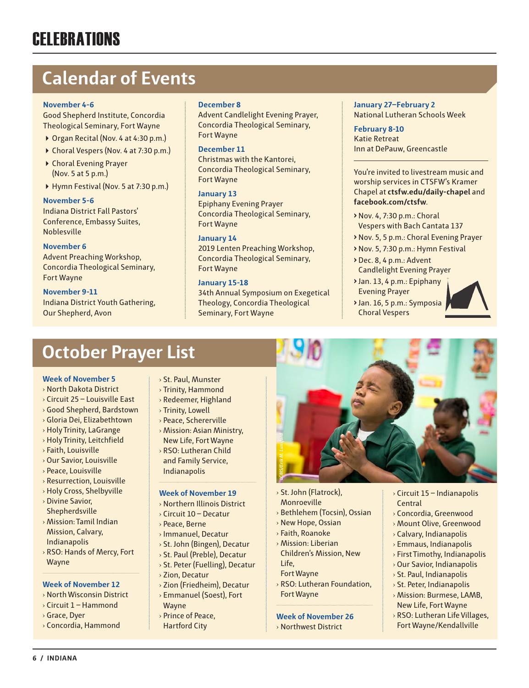# **Calendar of Events**

# **November 4-6**

Good Shepherd Institute, Concordia Theological Seminary, Fort Wayne

- ▶ Organ Recital (Nov. 4 at 4:30 p.m.)
- ▶ Choral Vespers (Nov. 4 at 7:30 p.m.)
- Choral Evening Prayer (Nov. 5 at 5 p.m.)
- ▶ Hymn Festival (Nov. 5 at 7:30 p.m.)

### **November 5-6**

Indiana District Fall Pastors' Conference, Embassy Suites, Noblesville

# **November 6**

Advent Preaching Workshop, Concordia Theological Seminary, Fort Wayne

### **November 9-11**

Indiana District Youth Gathering, Our Shepherd, Avon

## **December 8**

Advent Candlelight Evening Prayer, Concordia Theological Seminary, Fort Wayne

## **December 11**

Christmas with the Kantorei, Concordia Theological Seminary, Fort Wayne

# **January 13**

Epiphany Evening Prayer Concordia Theological Seminary, Fort Wayne

# **January 14**

2019 Lenten Preaching Workshop, Concordia Theological Seminary, Fort Wayne

# **January 15-18**

34th Annual Symposium on Exegetical Theology, Concordia Theological Seminary, Fort Wayne

## **January 27–February 2** National Lutheran Schools Week

**February 8-10** Katie Retreat Inn at DePauw, Greencastle

You're invited to livestream music and worship services in CTSFW's Kramer Chapel at **ctsfw.edu/daily-chapel** and **facebook.com/ctsfw**.

- **>** Nov. 4, 7:30 p.m.: Choral Vespers with Bach Cantata 137
- **>** Nov. 5, 5 p.m.: Choral Evening Prayer
- **>** Nov. 5, 7:30 p.m.: Hymn Festival
- **>** Dec. 8, 4 p.m.: Advent Candlelight Evening Prayer
- **>** Jan. 13, 4 p.m.: Epiphany Evening Prayer
- **>** Jan. 16, 5 p.m.: Symposia Choral Vespers



# **October Prayer List**

### **Week of November 5**

- › North Dakota District
- › Circuit 25 Louisville East
- › Good Shepherd, Bardstown
- › Gloria Dei, Elizabethtown
- › Holy Trinity, LaGrange
- › Holy Trinity, Leitchfield
- › Faith, Louisville
- › Our Savior, Louisville
- › Peace, Louisville
- › Resurrection, Louisville
- › Holy Cross, Shelbyville
- › Divine Savior, Shepherdsville
- › Mission: Tamil Indian Mission, Calvary, Indianapolis
- › RSO: Hands of Mercy, Fort Wayne

# **Week of November 12**

- › North Wisconsin District
- $\rightarrow$  Circuit 1 Hammond
- › Grace, Dyer
- › Concordia, Hammond
- › St. Paul, Munster
- › Trinity, Hammond
- › Redeemer, Highland
- › Trinity, Lowell
- › Peace, Schererville
- › Mission: Asian Ministry, New Life, Fort Wayne
- › RSO: Lutheran Child and Family Service, Indianapolis

### **Week of November 19**

- › Northern Illinois District
- › Circuit 10 Decatur
- › Peace, Berne
- › Immanuel, Decatur
- › St. John (Bingen), Decatur
- › St. Paul (Preble), Decatur
- › St. Peter (Fuelling), Decatur
- › Zion, Decatur
- › Zion (Friedheim), Decatur › Emmanuel (Soest), Fort
- Wayne
- › Prince of Peace,
- Hartford City



- › St. John (Flatrock), Monroeville
- › Bethlehem (Tocsin), Ossian
- › New Hope, Ossian
- › Faith, Roanoke
- › Mission: Liberian Children's Mission, New Life,
- Fort Wayne
- › RSO: Lutheran Foundation, Fort Wayne

### **Week of November 26**

› Northwest District

- › Circuit 15 Indianapolis Central
- › Concordia, Greenwood
- › Mount Olive, Greenwood
- › Calvary, Indianapolis
- › Emmaus, Indianapolis
- › First Timothy, Indianapolis
- › Our Savior, Indianapolis
- › St. Paul, Indianapolis
- › St. Peter, Indianapolis › Mission: Burmese, LAMB,
- New Life, Fort Wayne
- › RSO: Lutheran Life Villages, Fort Wayne/Kendallville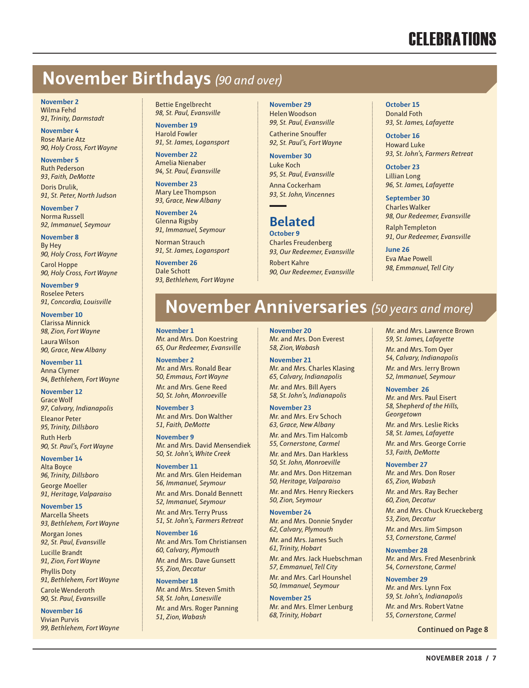# **CELEBRATIONS**

# **November Birthdays** *(90 and over)*

**November 2** Wilma Fehd *91, Trinity, Darmstadt*

**November 4** Rose Marie Atz *90, Holy Cross, Fort Wayne*

**November 5** Ruth Pederson *93*, *Faith, DeMotte* Doris Drulik,

*91, St. Peter, North Judson* **November 7**

Norma Russell *92, Immanuel, Seymour*

**November 8** By Hey *90, Holy Cross, Fort Wayne*

Carol Hoppe *90, Holy Cross, Fort Wayne*

**November 9** Roselee Peters *91, Concordia, Louisville*

**November 10** Clarissa Minnick *98, Zion, Fort Wayne*

Laura Wilson *90, Grace, New Albany*

**November 11** Anna Clymer *94, Bethlehem, Fort Wayne* 

**November 12** Grace Wolf

*97, Calvary, Indianapolis* Eleanor Peter *95, Trinity, Dillsboro* Ruth Herb *90, St. Paul's, Fort Wayne*

**November 14** Alta Boyce *96, Trinity, Dillsbor*o George Moeller *91, Heritage, Valparaiso*

**November 15** Marcella Sheets *93, Bethlehem, Fort Wayne*

Morgan Jones *92, St. Paul, Evansville* Lucille Brandt *91, Zion, Fort Wayne*

Phyllis Doty *91, Bethlehem, Fort Wayne* Carole Wenderoth *90, St. Paul, Evansville*

**November 16** Vivian Purvis *99, Bethlehem, Fort Wayne* Bettie Engelbrecht *98, St. Paul, Evansville*

**November 19** Harold Fowler *91, St. James, Logansport*

**November 22** Amelia Nienaber *94, St. Paul, Evansville*

**November 23** Mary Lee Thompson *93, Grace, New Albany*

**November 24** Glenna Rigsby *91, Immanuel, Seymour*

Norman Strauch *91, St. James, Logansport*

**November 26** Dale Schott *93, Bethlehem, Fort Wayne* **November 29** Helen Woodson *99, St. Paul, Evansville* Catherine Snouffer *92, St. Paul's, Fort Wayne*

**November 30** Luke Koch *95, St. Paul, Evansville* Anna Cockerham *93, St. John, Vincennes*

# **Belated October 9**

Charles Freudenberg *93, Our Redeemer, Evansville* Robert Kahre *90, Our Redeemer, Evansville* **October 15** Donald Foth *93, St. James, Lafayette*

**October 16** Howard Luke *93, St. John's, Farmers Retreat*

**October 23** Lillian Long *96, St. James, Lafayette*

**September 30** Charles Walker *98, Our Redeemer, Evansville* Ralph Templeton *91, Our Redeemer, Evansville* 

**June 26** Eva Mae Powell *98, Emmanuel, Tell City*

# **November Anniversaries** *(50 years and more)*

**November 1** Mr. and Mrs. Don Koestring *65, Our Redeemer, Evansville*

**November 2** Mr. and Mrs. Ronald Bear *50, Emmaus, Fort Wayne* Mr. and Mrs. Gene Reed *50, St. John, Monroeville*

**November 3** Mr. and Mrs. Don Walther *51, Faith, DeMotte*

**November 9** Mr. and Mrs. David Mensendiek *50, St. John's, White Creek*

**November 11** Mr. and Mrs. Glen Heideman *56, Immanuel, Seymour*

Mr. and Mrs. Donald Bennett *52, Immanuel, Seymour*

Mr. and Mrs. Terry Pruss *51, St. John's, Farmers Retreat*

**November 16** Mr. and Mrs. Tom Christiansen *60, Calvary, Plymouth* Mr. and Mrs. Dave Gunsett *55, Zion, Decatur*

**November 18** Mr. and Mrs. Steven Smith *58, St. John, Lanesville* Mr. and Mrs. Roger Panning *51, Zion, Wabash*

**November 20** Mr. and Mrs. Don Everest *58, Zion, Wabash*

**November 21** Mr. and Mrs. Charles Klasing *65, Calvary, Indianapolis* Mr. and Mrs. Bill Ayers *58, St. John's, Indianapolis*

**November 23**

Mr. and Mrs. Erv Schoch *63, Grace, New Albany*

Mr. and Mrs. Tim Halcomb *55, Cornerstone, Carmel* Mr. and Mrs. Dan Harkless

*50, St. John, Monroeville*

Mr. and Mrs. Don Hitzeman *50, Heritage, Valparaiso* Mr. and Mrs. Henry Rieckers

*50, Zion, Seymour* **November 24**

Mr. and Mrs. Donnie Snyder *62, Calvary, Plymouth*

Mr. and Mrs. James Such *61, Trinity, Hobart*

Mr. and Mrs. Jack Huebschman *57, Emmanuel, Tell City*

Mr. and Mrs. Carl Hounshel *50, Immanuel, Seymour*

**November 25** Mr. and Mrs. Elmer Lenburg *68, Trinity, Hobart*

Mr. and Mrs. Lawrence Brown *59, St. James, Lafayette* Mr. and Mrs. Tom Oyer *54, Calvary, Indianapolis* Mr. and Mrs. Jerry Brown *52, Immanuel, Seymour*

### **November 26**

Mr. and Mrs. Paul Eisert *58, Shepherd of the Hills, Georgetown*

Mr. and Mrs. Leslie Ricks *58, St. James, Lafayette* Mr. and Mrs. George Corrie *53, Faith, DeMotte*

### **November 27**

Mr. and Mrs. Don Roser *65, Zion, Wabash* Mr. and Mrs. Ray Becher

*60, Zion, Decatur*

Mr. and Mrs. Chuck Krueckeberg *53, Zion, Decatur*

Mr. and Mrs. Jim Simpson *53, Cornerstone, Carmel*

### **November 28**

Mr. and Mrs. Fred Mesenbrink *54, Cornerstone, Carmel*

**November 29** Mr. and Mrs. Lynn Fox *59, St. John's, Indianapolis*

Mr. and Mrs. Robert Vatne *55, Cornerstone, Carmel*

**Continued on Page 8**